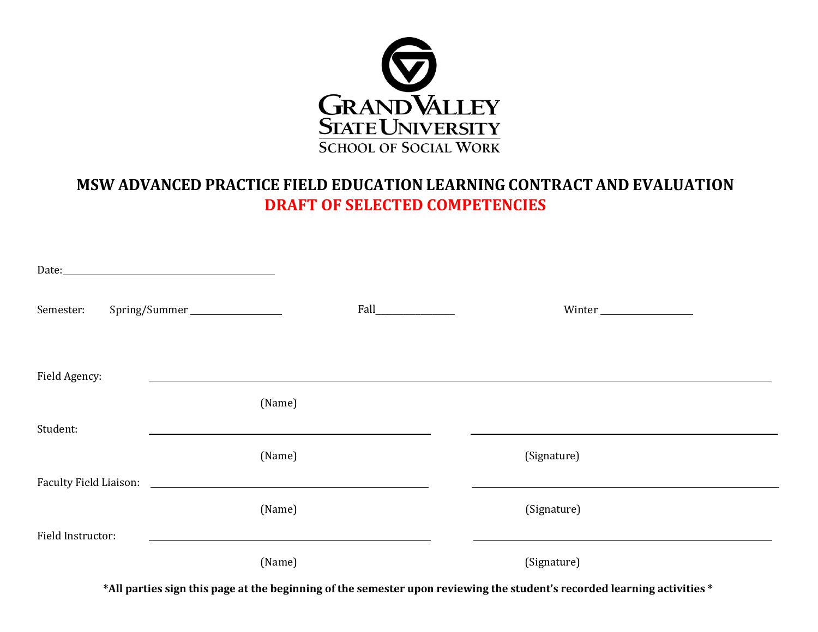

# **MSW ADVANCED PRACTICE FIELD EDUCATION LEARNING CONTRACT AND EVALUATION DRAFT OF SELECTED COMPETENCIES**

| Semester:         |        | Fall <b>Figure 2018</b> | Winter      |
|-------------------|--------|-------------------------|-------------|
| Field Agency:     |        |                         |             |
|                   | (Name) |                         |             |
| Student:          |        |                         |             |
|                   | (Name) |                         | (Signature) |
|                   |        |                         |             |
|                   | (Name) |                         | (Signature) |
| Field Instructor: |        |                         |             |
|                   | (Name) |                         | (Signature) |

**\*All parties sign this page at the beginning of the semester upon reviewing the student's recorded learning activities \***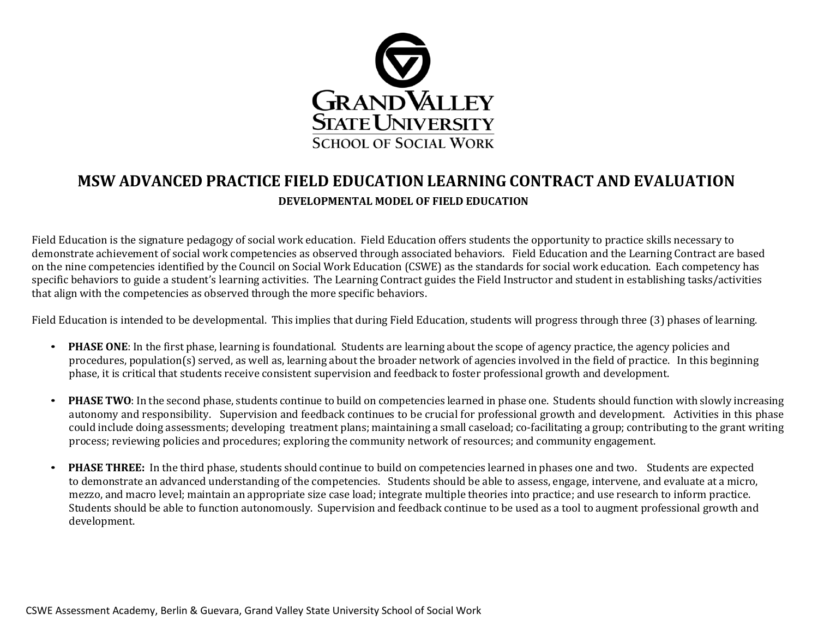

## **MSW ADVANCED PRACTICE FIELD EDUCATION LEARNING CONTRACT AND EVALUATION DEVELOPMENTAL MODEL OF FIELD EDUCATION**

Field Education is the signature pedagogy of social work education. Field Education offers students the opportunity to practice skills necessary to demonstrate achievement of social work competencies as observed through associated behaviors. Field Education and the Learning Contract are based on the nine competencies identified by the Council on Social Work Education (CSWE) as the standards for social work education. Each competency has specific behaviors to guide a student's learning activities. The Learning Contract guides the Field Instructor and student in establishing tasks/activities that align with the competencies as observed through the more specific behaviors.

Field Education is intended to be developmental. This implies that during Field Education, students will progress through three (3) phases of learning.

- **PHASE ONE**: In the first phase, learning is foundational. Students are learning about the scope of agency practice, the agency policies and procedures, population(s) served, as well as, learning about the broader network of agencies involved in the field of practice. In this beginning phase, it is critical that students receive consistent supervision and feedback to foster professional growth and development.
- **PHASE TWO**: In the second phase, students continue to build on competencies learned in phase one. Students should function with slowly increasing autonomy and responsibility. Supervision and feedback continues to be crucial for professional growth and development. Activities in this phase could include doing assessments; developing treatment plans; maintaining a small caseload; co-facilitating a group; contributing to the grant writing process; reviewing policies and procedures; exploring the community network of resources; and community engagement.
- **PHASE THREE:** In the third phase, students should continue to build on competencies learned in phases one and two. Students are expected to demonstrate an advanced understanding of the competencies. Students should be able to assess, engage, intervene, and evaluate at a micro, mezzo, and macro level; maintain an appropriate size case load; integrate multiple theories into practice; and use research to inform practice. Students should be able to function autonomously. Supervision and feedback continue to be used as a tool to augment professional growth and development.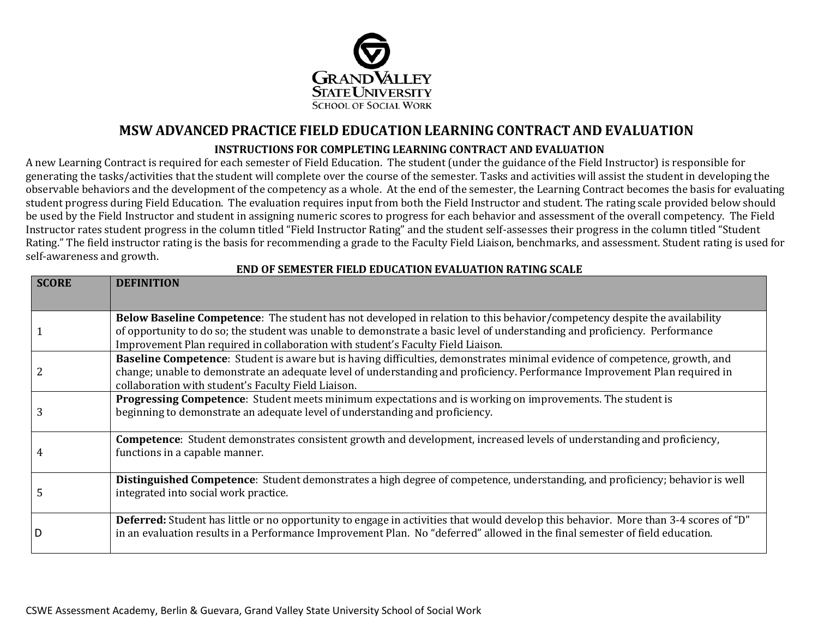

## **MSW ADVANCED PRACTICE FIELD EDUCATIONLEARNING CONTRACTAND EVALUATION**

#### **INSTRUCTIONS FOR COMPLETING LEARNING CONTRACT AND EVALUATION**

A new Learning Contract is required for each semester of Field Education. The student (under the guidance of the Field Instructor) is responsible for generating the tasks/activities that the student will complete over the course of the semester. Tasks and activities will assist the student in developing the observable behaviors and the development of the competency as a whole. At the end of the semester, the Learning Contract becomes the basis for evaluating student progress during Field Education. The evaluation requires input from both the Field Instructor and student. The rating scale provided below should be used by the Field Instructor and student in assigning numeric scores to progress for each behavior and assessment of the overall competency. The Field Instructor rates student progress in the column titled "Field Instructor Rating" and the student self-assesses their progress in the column titled "Student Rating." The field instructor rating is the basis for recommending a grade to the Faculty Field Liaison, benchmarks, and assessment. Student rating is used for self-awareness and growth.

| <b>SCORE</b> | <b>DEFINITION</b>                                                                                                                                                                                                                                                                                                                           |
|--------------|---------------------------------------------------------------------------------------------------------------------------------------------------------------------------------------------------------------------------------------------------------------------------------------------------------------------------------------------|
|              |                                                                                                                                                                                                                                                                                                                                             |
|              | Below Baseline Competence: The student has not developed in relation to this behavior/competency despite the availability<br>of opportunity to do so; the student was unable to demonstrate a basic level of understanding and proficiency. Performance<br>Improvement Plan required in collaboration with student's Faculty Field Liaison. |
|              | Baseline Competence: Student is aware but is having difficulties, demonstrates minimal evidence of competence, growth, and<br>change; unable to demonstrate an adequate level of understanding and proficiency. Performance Improvement Plan required in<br>collaboration with student's Faculty Field Liaison.                             |
|              | Progressing Competence: Student meets minimum expectations and is working on improvements. The student is<br>beginning to demonstrate an adequate level of understanding and proficiency.                                                                                                                                                   |
|              | <b>Competence:</b> Student demonstrates consistent growth and development, increased levels of understanding and proficiency,<br>functions in a capable manner.                                                                                                                                                                             |
|              | Distinguished Competence: Student demonstrates a high degree of competence, understanding, and proficiency; behavior is well<br>integrated into social work practice.                                                                                                                                                                       |
|              | Deferred: Student has little or no opportunity to engage in activities that would develop this behavior. More than 3-4 scores of "D"<br>in an evaluation results in a Performance Improvement Plan. No "deferred" allowed in the final semester of field education.                                                                         |

#### **END OF SEMESTER FIELD EDUCATION EVALUATION RATING SCALE**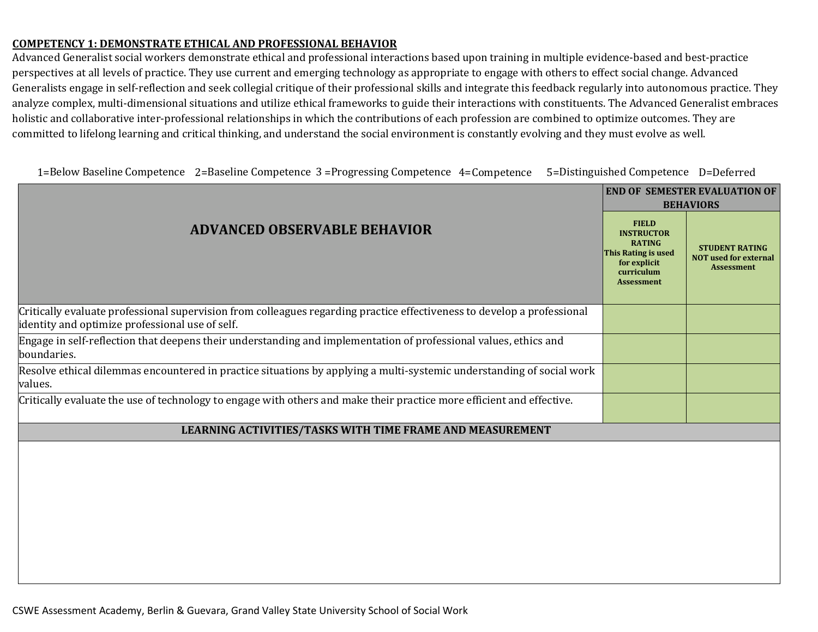#### **COMPETENCY 1: DEMONSTRATE ETHICAL AND PROFESSIONAL BEHAVIOR**

Advanced Generalist social workers demonstrate ethical and professional interactions based upon training in multiple evidence-based and best-practice perspectives at all levels of practice. They use current and emerging technology as appropriate to engage with others to effect social change. Advanced Generalists engage in self-reflection and seek collegial critique of their professional skills and integrate this feedback regularly into autonomous practice. They analyze complex, multi-dimensional situations and utilize ethical frameworks to guide their interactions with constituents. The Advanced Generalist embraces holistic and collaborative inter-professional relationships in which the contributions of each profession are combined to optimize outcomes. They are committed to lifelong learning and critical thinking, and understand the social environment is constantly evolving and they must evolve as well.

| 1=Below Baseline Competence 2=Baseline Competence 3=Progressing Competence 4=Competence 5=Distinguished Competence D=Deferred |  |  |  |  |  |
|-------------------------------------------------------------------------------------------------------------------------------|--|--|--|--|--|
|-------------------------------------------------------------------------------------------------------------------------------|--|--|--|--|--|

|                                                                                                                                                                            | <b>END OF SEMESTER EVALUATION OF</b><br><b>BEHAVIORS</b>                                                                     |                                                                            |
|----------------------------------------------------------------------------------------------------------------------------------------------------------------------------|------------------------------------------------------------------------------------------------------------------------------|----------------------------------------------------------------------------|
| <b>ADVANCED OBSERVABLE BEHAVIOR</b>                                                                                                                                        | <b>FIELD</b><br><b>INSTRUCTOR</b><br><b>RATING</b><br>This Rating is used<br>for explicit<br>curriculum<br><b>Assessment</b> | <b>STUDENT RATING</b><br><b>NOT used for external</b><br><b>Assessment</b> |
| Critically evaluate professional supervision from colleagues regarding practice effectiveness to develop a professional<br>identity and optimize professional use of self. |                                                                                                                              |                                                                            |
| Engage in self-reflection that deepens their understanding and implementation of professional values, ethics and<br>boundaries.                                            |                                                                                                                              |                                                                            |
| Resolve ethical dilemmas encountered in practice situations by applying a multi-systemic understanding of social work<br>values.                                           |                                                                                                                              |                                                                            |
| Critically evaluate the use of technology to engage with others and make their practice more efficient and effective.                                                      |                                                                                                                              |                                                                            |
| LEARNING ACTIVITIES/TASKS WITH TIME FRAME AND MEASUREMENT                                                                                                                  |                                                                                                                              |                                                                            |
|                                                                                                                                                                            |                                                                                                                              |                                                                            |
|                                                                                                                                                                            |                                                                                                                              |                                                                            |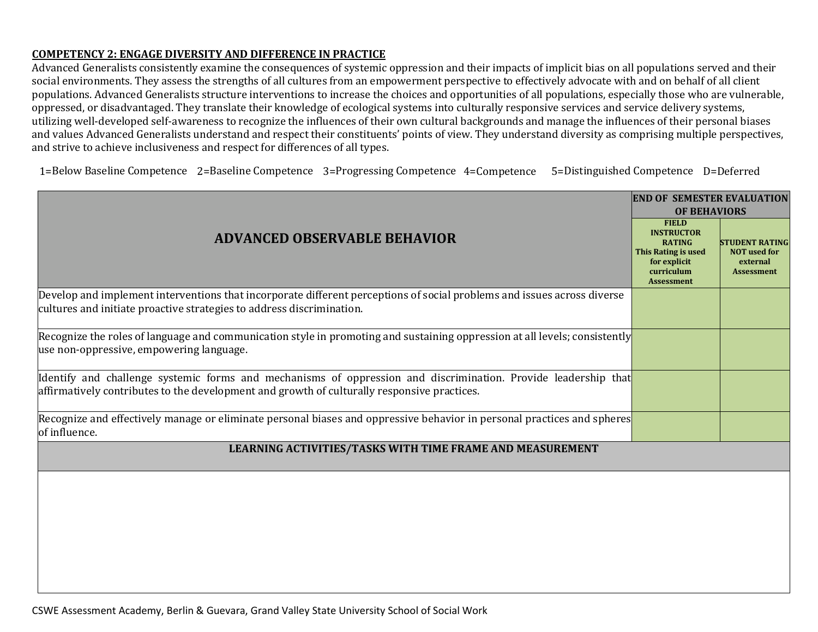## **COMPETENCY 2: ENGAGE DIVERSITY AND DIFFERENCE IN PRACTICE**

Advanced Generalists consistently examine the consequences of systemic oppression and their impacts of implicit bias on all populations served and their social environments. They assess the strengths of all cultures from an empowerment perspective to effectively advocate with and on behalf of all client populations. Advanced Generalists structure interventions to increase the choices and opportunities of all populations, especially those who are vulnerable, oppressed, or disadvantaged. They translate their knowledge of ecological systems into culturally responsive services and service delivery systems, utilizing well-developed self-awareness to recognize the influences of their own cultural backgrounds and manage the influences of their personal biases and values Advanced Generalists understand and respect their constituents' points of view. They understand diversity as comprising multiple perspectives, and strive to achieve inclusiveness and respect for differences of all types.

1=Below Baseline Competence 2=Baseline Competence 3=Progressing Competence 4=Competence 5=Distinguished Competence D=Deferred

|                                                                                                                                                                                                               | <b>END OF SEMESTER EVALUATION</b> |                                                                               |  |
|---------------------------------------------------------------------------------------------------------------------------------------------------------------------------------------------------------------|-----------------------------------|-------------------------------------------------------------------------------|--|
|                                                                                                                                                                                                               | <b>OF BEHAVIORS</b>               |                                                                               |  |
| <b>ADVANCED OBSERVABLE BEHAVIOR</b>                                                                                                                                                                           |                                   | <b>STUDENT RATING</b><br><b>NOT</b> used for<br>external<br><b>Assessment</b> |  |
| Develop and implement interventions that incorporate different perceptions of social problems and issues across diverse<br>cultures and initiate proactive strategies to address discrimination.              |                                   |                                                                               |  |
| Recognize the roles of language and communication style in promoting and sustaining oppression at all levels; consistently<br>use non-oppressive, empowering language.                                        |                                   |                                                                               |  |
| Identify and challenge systemic forms and mechanisms of oppression and discrimination. Provide leadership that<br>affirmatively contributes to the development and growth of culturally responsive practices. |                                   |                                                                               |  |
| Recognize and effectively manage or eliminate personal biases and oppressive behavior in personal practices and spheres<br>of influence.                                                                      |                                   |                                                                               |  |
| LEARNING ACTIVITIES/TASKS WITH TIME FRAME AND MEASUREMENT                                                                                                                                                     |                                   |                                                                               |  |
|                                                                                                                                                                                                               |                                   |                                                                               |  |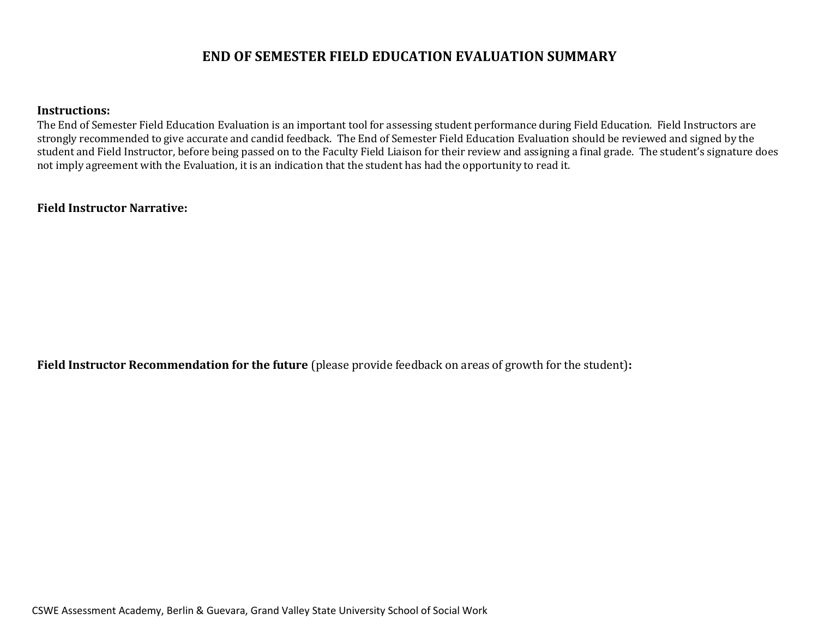## **END OF SEMESTER FIELD EDUCATION EVALUATION SUMMARY**

#### **Instructions:**

The End of Semester Field Education Evaluation is an important tool for assessing student performance during Field Education. Field Instructors are strongly recommended to give accurate and candid feedback. The End of Semester Field Education Evaluation should be reviewed and signed by the student and Field Instructor, before being passed on to the Faculty Field Liaison for their review and assigning a final grade. The student's signature does not imply agreement with the Evaluation, it is an indication that the student has had the opportunity to read it.

### **Field Instructor Narrative:**

**Field Instructor Recommendation for the future** (please provide feedback on areas of growth for the student)**:**